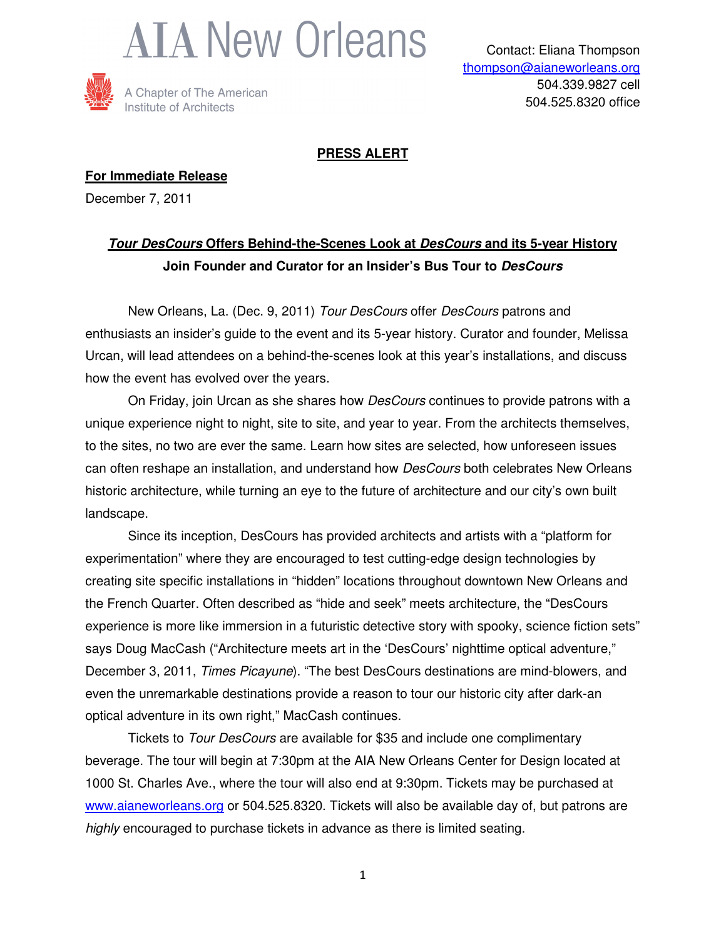



## **PRESS ALERT**

**For Immediate Release** December 7, 2011

## **Tour DesCours Offers Behind-the-Scenes Look at DesCours and its 5-year History Join Founder and Curator for an Insider's Bus Tour to DesCours**

 New Orleans, La. (Dec. 9, 2011) Tour DesCours offer DesCours patrons and enthusiasts an insider's guide to the event and its 5-year history. Curator and founder, Melissa Urcan, will lead attendees on a behind-the-scenes look at this year's installations, and discuss how the event has evolved over the years.

On Friday, join Urcan as she shares how *DesCours* continues to provide patrons with a unique experience night to night, site to site, and year to year. From the architects themselves, to the sites, no two are ever the same. Learn how sites are selected, how unforeseen issues can often reshape an installation, and understand how *DesCours* both celebrates New Orleans historic architecture, while turning an eye to the future of architecture and our city's own built landscape.

Since its inception, DesCours has provided architects and artists with a "platform for experimentation" where they are encouraged to test cutting-edge design technologies by creating site specific installations in "hidden" locations throughout downtown New Orleans and the French Quarter. Often described as "hide and seek" meets architecture, the "DesCours experience is more like immersion in a futuristic detective story with spooky, science fiction sets" says Doug MacCash ("Architecture meets art in the 'DesCours' nighttime optical adventure," December 3, 2011, Times Picayune). "The best DesCours destinations are mind-blowers, and even the unremarkable destinations provide a reason to tour our historic city after dark-an optical adventure in its own right," MacCash continues.

Tickets to Tour DesCours are available for \$35 and include one complimentary beverage. The tour will begin at 7:30pm at the AIA New Orleans Center for Design located at 1000 St. Charles Ave., where the tour will also end at 9:30pm. Tickets may be purchased at www.aianeworleans.org or 504.525.8320. Tickets will also be available day of, but patrons are highly encouraged to purchase tickets in advance as there is limited seating.

1